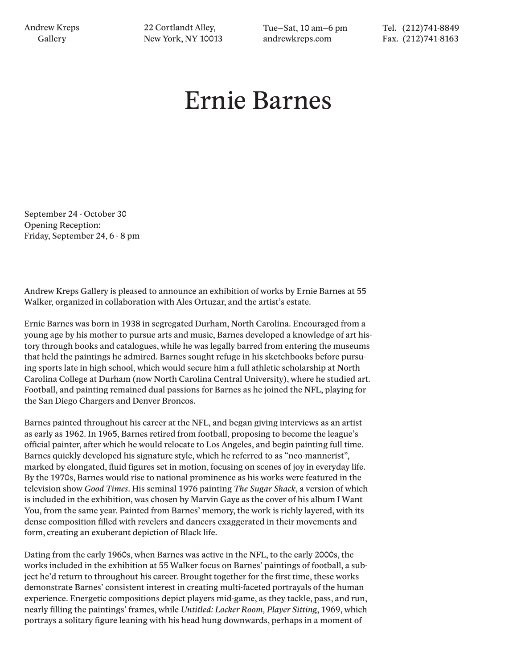22 Cortlandt Alley, New York, NY 10013 Tue–Sat, 10 am–6 pm andrewkreps.com

Tel. (212)741-8849 Fax. (212)741-8163

## Ernie Barnes

September 24 - October 30 Opening Reception: Friday, September 24, 6 - 8 pm

Andrew Kreps Gallery is pleased to announce an exhibition of works by Ernie Barnes at 55 Walker, organized in collaboration with Ales Ortuzar, and the artist's estate.

Ernie Barnes was born in 1938 in segregated Durham, North Carolina. Encouraged from a young age by his mother to pursue arts and music, Barnes developed a knowledge of art history through books and catalogues, while he was legally barred from entering the museums that held the paintings he admired. Barnes sought refuge in his sketchbooks before pursuing sports late in high school, which would secure him a full athletic scholarship at North Carolina College at Durham (now North Carolina Central University), where he studied art. Football, and painting remained dual passions for Barnes as he joined the NFL, playing for the San Diego Chargers and Denver Broncos.

Barnes painted throughout his career at the NFL, and began giving interviews as an artist as early as 1962. In 1965, Barnes retired from football, proposing to become the league's official painter, after which he would relocate to Los Angeles, and begin painting full time. Barnes quickly developed his signature style, which he referred to as "neo-mannerist", marked by elongated, fluid figures set in motion, focusing on scenes of joy in everyday life. By the 1970s, Barnes would rise to national prominence as his works were featured in the television show *Good Times*. His seminal 1976 painting *The Sugar Shack*, a version of which is included in the exhibition, was chosen by Marvin Gaye as the cover of his album I Want You, from the same year. Painted from Barnes' memory, the work is richly layered, with its dense composition filled with revelers and dancers exaggerated in their movements and form, creating an exuberant depiction of Black life.

Dating from the early 1960s, when Barnes was active in the NFL, to the early 2000s, the works included in the exhibition at 55 Walker focus on Barnes' paintings of football, a subject he'd return to throughout his career. Brought together for the first time, these works demonstrate Barnes' consistent interest in creating multi-faceted portrayals of the human experience. Energetic compositions depict players mid-game, as they tackle, pass, and run, nearly filling the paintings' frames, while *Untitled: Locker Room, Player Sitting*, 1969, which portrays a solitary figure leaning with his head hung downwards, perhaps in a moment of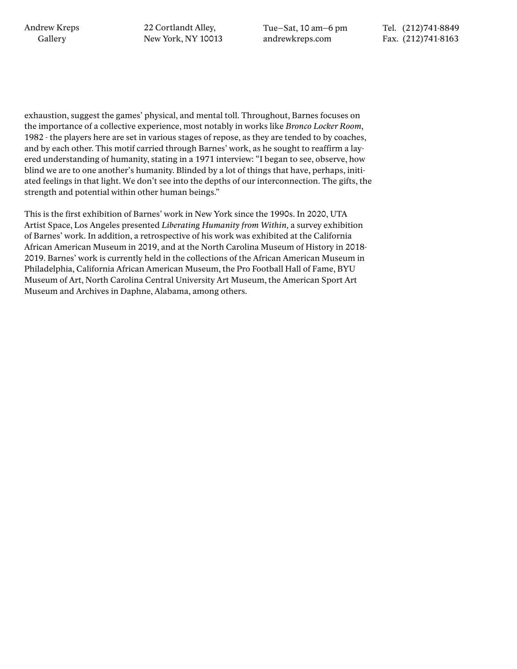22 Cortlandt Alley, New York, NY 10013 Tue–Sat, 10 am–6 pm andrewkreps.com

Tel. (212)741-8849 Fax. (212)741-8163

exhaustion, suggest the games' physical, and mental toll. Throughout, Barnes focuses on the importance of a collective experience, most notably in works like *Bronco Locker Room*, 1982 - the players here are set in various stages of repose, as they are tended to by coaches, and by each other. This motif carried through Barnes' work, as he sought to reaffirm a layered understanding of humanity, stating in a 1971 interview: "I began to see, observe, how blind we are to one another's humanity. Blinded by a lot of things that have, perhaps, initiated feelings in that light. We don't see into the depths of our interconnection. The gifts, the strength and potential within other human beings."

This is the first exhibition of Barnes' work in New York since the 1990s. In 2020, UTA Artist Space, Los Angeles presented *Liberating Humanity from Within,* a survey exhibition of Barnes' work. In addition, a retrospective of his work was exhibited at the California African American Museum in 2019, and at the North Carolina Museum of History in 2018- 2019. Barnes' work is currently held in the collections of the African American Museum in Philadelphia, California African American Museum, the Pro Football Hall of Fame, BYU Museum of Art, North Carolina Central University Art Museum, the American Sport Art Museum and Archives in Daphne, Alabama, among others.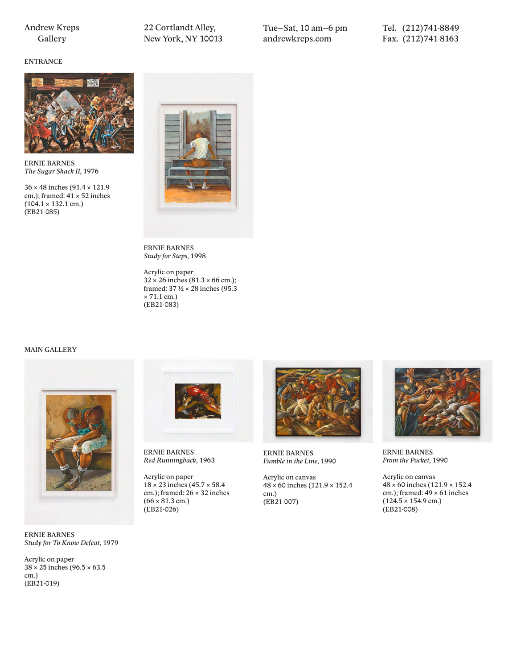ENTRANCE

22 Cortlandt Alley, New York, NY 10013 Tue–Sat, 10 am–6 pm andrewkreps.com

Tel. (212)741-8849 Fax. (212)741-8163



ERNIE BARNES *The Sugar Shack II,* 1976

36 × 48 inches (91.4 × 121.9 cm.); framed: 41 × 52 inches  $(104.1 \times 132.1 \text{ cm.})$ (EB21-085)



ERNIE BARNES *Study for Steps,* 1998

Acrylic on paper  $32 \times 26$  inches (81.3  $\times$  66 cm.); framed: 37  $\frac{1}{2} \times 28$  inches (95.3)  $\times$  71.1 cm.) (EB21-083)

## MAIN GALLERY



ERNIE BARNES *Study for To Know Defeat,* 1979

Acrylic on paper 38 × 25 inches (96.5 × 63.5 cm.) (EB21-019)



ERNIE BARNES *Red Runningback,* 1963

Acrylic on paper 18 × 23 inches (45.7 × 58.4 cm.); framed: 26 × 32 inches  $(66 \times 81.3 \text{ cm.})$ (EB21-026)



ERNIE BARNES *Fumble in the Line,* 1990

Acrylic on canvas 48 × 60 inches (121.9 × 152.4 cm.) (EB21-007)



ERNIE BARNES *From the Pocket,* 1990

Acrylic on canvas 48 × 60 inches (121.9 × 152.4 cm.); framed: 49 × 61 inches  $(124.5 \times 154.9 \text{ cm.})$ (EB21-008)